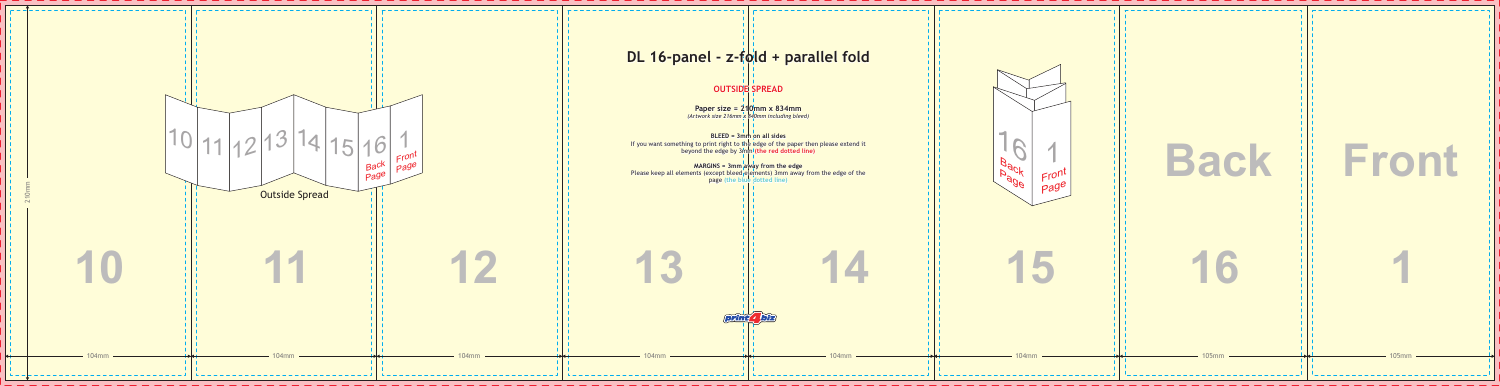

| <b>Back</b>  | Front        |
|--------------|--------------|
| 16           |              |
| <b>105mm</b> | <b>105mm</b> |

\_ \_ \_ \_ \_ \_